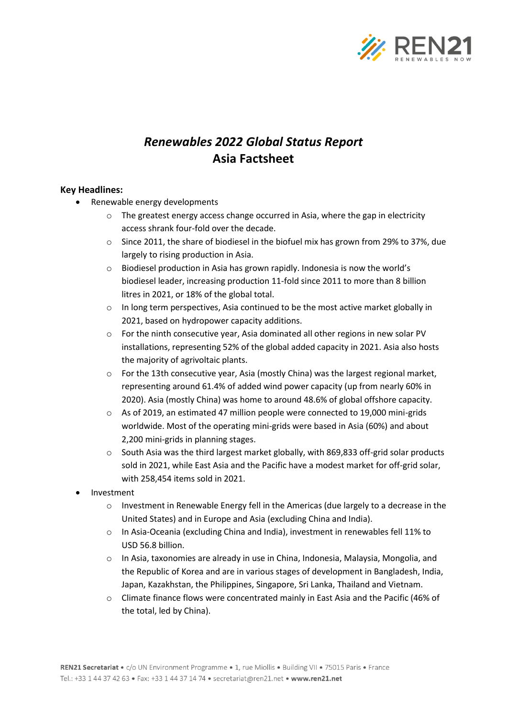

## *Renewables 2022 Global Status Report* **Asia Factsheet**

## **Key Headlines:**

- Renewable energy developments
	- o The greatest energy access change occurred in Asia, where the gap in electricity access shrank four-fold over the decade.
	- $\circ$  Since 2011, the share of biodiesel in the biofuel mix has grown from 29% to 37%, due largely to rising production in Asia.
	- o Biodiesel production in Asia has grown rapidly. Indonesia is now the world's biodiesel leader, increasing production 11-fold since 2011 to more than 8 billion litres in 2021, or 18% of the global total.
	- $\circ$  In long term perspectives, Asia continued to be the most active market globally in 2021, based on hydropower capacity additions.
	- $\circ$  For the ninth consecutive year, Asia dominated all other regions in new solar PV installations, representing 52% of the global added capacity in 2021. Asia also hosts the majority of agrivoltaic plants.
	- $\circ$  For the 13th consecutive year, Asia (mostly China) was the largest regional market, representing around 61.4% of added wind power capacity (up from nearly 60% in 2020). Asia (mostly China) was home to around 48.6% of global offshore capacity.
	- o As of 2019, an estimated 47 million people were connected to 19,000 mini-grids worldwide. Most of the operating mini-grids were based in Asia (60%) and about 2,200 mini-grids in planning stages.
	- $\circ$  South Asia was the third largest market globally, with 869,833 off-grid solar products sold in 2021, while East Asia and the Pacific have a modest market for off-grid solar, with 258,454 items sold in 2021.
- Investment
	- $\circ$  Investment in Renewable Energy fell in the Americas (due largely to a decrease in the United States) and in Europe and Asia (excluding China and India).
	- $\circ$  In Asia-Oceania (excluding China and India), investment in renewables fell 11% to USD 56.8 billion.
	- o In Asia, taxonomies are already in use in China, Indonesia, Malaysia, Mongolia, and the Republic of Korea and are in various stages of development in Bangladesh, India, Japan, Kazakhstan, the Philippines, Singapore, Sri Lanka, Thailand and Vietnam.
	- $\circ$  Climate finance flows were concentrated mainly in East Asia and the Pacific (46% of the total, led by China).